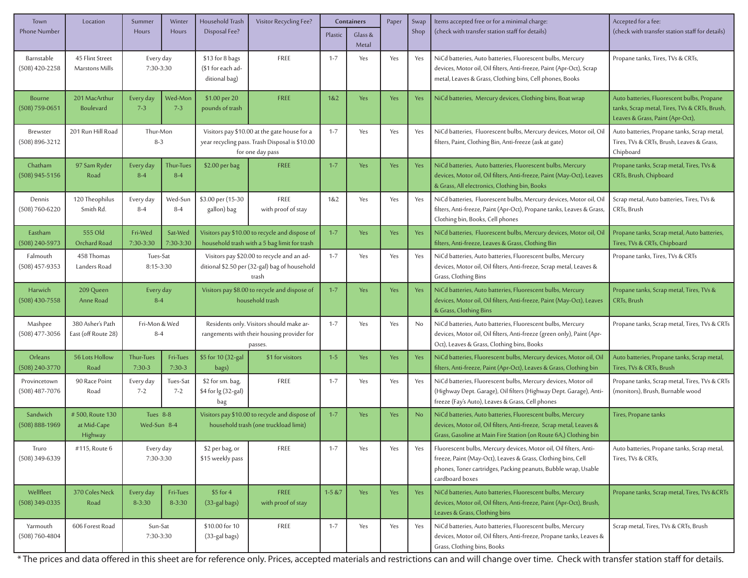| Town                             | Location                                  | Summer                                       | Winter                 | Household Trash                                                                                                    | Visitor Recycling Fee?            | Containers   |                  | Paper      | Swap | Items accepted free or for a minimal charge:                                                                                                                                                                           | Accepted for a fee:                                                                                                             |
|----------------------------------|-------------------------------------------|----------------------------------------------|------------------------|--------------------------------------------------------------------------------------------------------------------|-----------------------------------|--------------|------------------|------------|------|------------------------------------------------------------------------------------------------------------------------------------------------------------------------------------------------------------------------|---------------------------------------------------------------------------------------------------------------------------------|
| <b>Phone Number</b>              |                                           | Hours                                        | Hours                  | Disposal Fee?                                                                                                      |                                   | Plastic      | Glass &<br>Metal |            | Shop | (check with transfer station staff for details)                                                                                                                                                                        | (check with transfer station staff for details)                                                                                 |
| Barnstable<br>$(508)$ 420-2258   | 45 Flint Street<br>Marstons Mills         | Every day<br>7:30-3:30                       |                        | \$13 for 8 bags<br>(\$1 for each ad-<br>ditional bag)                                                              | FREE                              | $1 - 7$      | Yes              | Yes        | Yes  | NiCd batteries, Auto batteries, Fluorescent bulbs, Mercury<br>devices, Motor oil, Oil filters, Anti-freeze, Paint (Apr-Oct), Scrap<br>metal, Leaves & Grass, Clothing bins, Cell phones, Books                         | Propane tanks, Tires, TVs & CRTs,                                                                                               |
| Bourne<br>$(508) 759 - 0651$     | 201 MacArthur<br><b>Boulevard</b>         | Every day<br>$7 - 3$                         | Wed-Mon<br>$7 - 3$     | \$1.00 per 20<br>pounds of trash                                                                                   | <b>FREE</b>                       | 182          | Yes              | <b>Yes</b> | Yes  | NiCd batteries, Mercury devices, Clothing bins, Boat wrap                                                                                                                                                              | Auto batteries, Fluorescent bulbs, Propane<br>tanks, Scrap metal, Tires, TVs & CRTs, Brush,<br>Leaves & Grass, Paint (Apr-Oct), |
| Brewster<br>$(508) 896 - 3212$   | 201 Run Hill Road                         | Thur-Mon<br>$8 - 3$                          |                        | Visitors pay \$10.00 at the gate house for a<br>year recycling pass. Trash Disposal is \$10.00<br>for one day pass |                                   | $1 - 7$      | Yes              | Yes        | Yes  | NiCd batteries, Fluorescent bulbs, Mercury devices, Motor oil, Oi<br>filters, Paint, Clothing Bin, Anti-freeze (ask at gate)                                                                                           | Auto batteries, Propane tanks, Scrap metal,<br>Tires, TVs & CRTs, Brush, Leaves & Grass,<br>Chipboard                           |
| Chatham<br>$(508)$ 945-5156      | 97 Sam Ryder<br>Road                      | Every day<br>$8 - 4$                         | Thur-Tues<br>$8 - 4$   | $$2.00$ per bag                                                                                                    | <b>FREE</b>                       | $1 - 7$      | Yes              | <b>Yes</b> | Yes  | NiCd batteries, Auto batteries, Fluorescent bulbs, Mercury<br>devices, Motor oil, Oil filters, Anti-freeze, Paint (May-Oct), Leaves<br>& Grass, All electronics, Clothing bin, Books                                   | Propane tanks, Scrap metal, Tires, TVs &<br>CRTs, Brush, Chipboard                                                              |
| Dennis<br>$(508) 760 - 6220$     | 120 Theophilus<br>Smith Rd.               | Every day<br>$8 - 4$                         | Wed-Sun<br>$8 - 4$     | \$3.00 per (15-30<br>gallon) bag                                                                                   | FREE<br>with proof of stay        | 1&2          | Yes              | Yes        | Yes  | NiCd batteries, Fluorescent bulbs, Mercury devices, Motor oil, Oi<br>filters, Anti-freeze, Paint (Apr-Oct), Propane tanks, Leaves & Grass,<br>Clothing bin, Books, Cell phones                                         | Scrap metal, Auto batteries, Tires, TVs &<br>CRTs, Brush                                                                        |
| Eastham<br>(508) 240-5973        | 555 Old<br>Orchard Road                   | Fri-Wed<br>Sat-Wed<br>7:30-3:30<br>7:30-3:30 |                        | Visitors pay \$10.00 to recycle and dispose of<br>household trash with a 5 bag limit for trash                     |                                   | $1 - 7$      | Yes              | <b>Yes</b> | Yes  | NiCd batteries, Fluorescent bulbs, Mercury devices, Motor oil, Oil<br>filters, Anti-freeze, Leaves & Grass, Clothing Bin                                                                                               | Propane tanks, Scrap metal, Auto batteries,<br>Tires, TVs & CRTs, Chipboard                                                     |
| Falmouth<br>$(508)$ 457-9353     | 458 Thomas<br>Landers Road                | Tues-Sat<br>8:15-3:30                        |                        | Visitors pay \$20.00 to recycle and an ad-<br>ditional \$2.50 per (32-gal) bag of household<br>trash               |                                   | $1 - 7$      | Yes              | Yes        | Yes  | NiCd batteries, Auto batteries, Fluorescent bulbs, Mercury<br>devices, Motor oil, Oil filters, Anti-freeze, Scrap metal, Leaves &<br>Grass, Clothing Bins                                                              | Propane tanks, Tires, TVs & CRTs                                                                                                |
| Harwich<br>$(508)$ 430-7558      | 209 Queen<br>Anne Road                    | Every day<br>$8 - 4$                         |                        | Visitors pay \$8.00 to recycle and dispose of<br>household trash                                                   |                                   | $1 - 7$      | Yes              | <b>Yes</b> | Yes  | NiCd batteries, Auto batteries, Fluorescent bulbs, Mercury<br>devices, Motor oil, Oil filters, Anti-freeze, Paint (May-Oct), Leaves<br>& Grass, Clothing Bins                                                          | Propane tanks, Scrap metal, Tires, TVs &<br>CRTs, Brush                                                                         |
| Mashpee<br>$(508)$ 477-3056      | 380 Asher's Path<br>East (off Route 28)   | Fri-Mon & Wed<br>$8-4$                       |                        | Residents only. Visitors should make ar-<br>rangements with their housing provider for<br>passes                   |                                   | $1 - 7$      | Yes              | Yes        | No   | NiCd batteries, Auto batteries, Fluorescent bulbs, Mercury<br>devices, Motor oil, Oil filters, Anti-freeze (green only), Paint (Apr-<br>Oct), Leaves & Grass, Clothing bins, Books                                     | Propane tanks, Scrap metal, Tires, TVs & CRTs                                                                                   |
| Orleans<br>$(508)$ 240-3770      | 56 Lots Hollow<br>Road                    | Thur-Tues<br>$7:30-3$                        | Fri-Tues<br>$7:30-3$   | \$5 for 10 (32-gal<br>bags)                                                                                        | \$1 for visitors                  | $1 - 5$      | Yes              | <b>Yes</b> | Yes  | NiCd batteries, Fluorescent bulbs, Mercury devices, Motor oil, Oi<br>filters, Anti-freeze, Paint (Apr-Oct), Leaves & Grass, Clothing bin                                                                               | Auto batteries, Propane tanks, Scrap metal,<br>Tires, TVs & CRTs, Brush                                                         |
| Provincetown<br>$(508)$ 487-7076 | 90 Race Point<br>Road                     | Every day<br>$7 - 2$                         | Tues-Sat<br>$7 - 2$    | \$2 for sm. bag,<br>\$4 for lg (32-gal)<br>bag                                                                     | FREE                              | $1 - 7$      | Yes              | Yes        | Yes  | NiCd batteries, Fluorescent bulbs, Mercury devices, Motor oil<br>(Highway Dept. Garage), Oil filters (Highway Dept. Garage), Anti-<br>freeze (Fay's Auto), Leaves & Grass, Cell phones                                 | Propane tanks, Scrap metal, Tires, TVs & CRTs<br>(monitors), Brush, Burnable wood                                               |
| Sandwich<br>$(508) 888 - 1969$   | #500, Route 130<br>at Mid-Cape<br>Highway | Tues 8-8<br>Wed-Sun 8-4                      |                        | Visitors pay \$10.00 to recycle and dispose of<br>household trash (one truckload limit)                            |                                   | $1 - 7$      | Yes              | <b>Yes</b> | No   | NiCd batteries, Auto batteries, Fluorescent bulbs, Mercury<br>devices, Motor oil, Oil filters, Anti-freeze, Scrap metal, Leaves &<br>Grass, Gasoline at Main Fire Station (on Route 6A,) Clothing bin                  | Tires, Propane tanks                                                                                                            |
| Truro<br>(508) 349-6339          | #115, Route 6                             | Every day<br>7:30-3:30                       |                        | \$2 per bag, or<br>\$15 weekly pass                                                                                | FREE                              | $1 - 7$      | Yes              | Yes        | Yes  | Fluorescent bulbs, Mercury devices, Motor oil, Oil filters, Anti-<br>freeze, Paint (May-Oct), Leaves & Grass, Clothing bins, Cell<br>phones, Toner cartridges, Packing peanuts, Bubble wrap, Usable<br>cardboard boxes | Auto batteries, Propane tanks, Scrap metal,<br>Tires, TVs & CRTs,                                                               |
| Wellfleet<br>$(508)$ 349-0335    | 370 Coles Neck<br>Road                    | Every day<br>$8 - 3:30$                      | Fri-Tues<br>$8 - 3:30$ | \$5 for 4<br>(33-gal bags)                                                                                         | <b>FREE</b><br>with proof of stay | $1 - 5 & 87$ | Yes              | <b>Yes</b> | Yes  | NiCd batteries, Auto batteries, Fluorescent bulbs, Mercury<br>devices, Motor oil, Oil filters, Anti-freeze, Paint (Apr-Oct), Brush,<br>Leaves & Grass, Clothing bins                                                   | Propane tanks, Scrap metal, Tires, TVs &CRTs                                                                                    |
| Yarmouth<br>(508) 760-4804       | 606 Forest Road                           | Sun-Sat<br>7:30-3:30                         |                        | \$10.00 for 10<br>(33-gal bags)                                                                                    | FREE                              | $1 - 7$      | Yes              | Yes        | Yes  | NiCd batteries, Auto batteries, Fluorescent bulbs, Mercury<br>devices, Motor oil, Oil filters, Anti-freeze, Propane tanks, Leaves &<br>Grass, Clothing bins, Books                                                     | Scrap metal, Tires, TVs & CRTs, Brush                                                                                           |

\* The prices and data offered in this sheet are for reference only. Prices, accepted materials and restrictions can and will change over time. Check with transfer station staff for details.